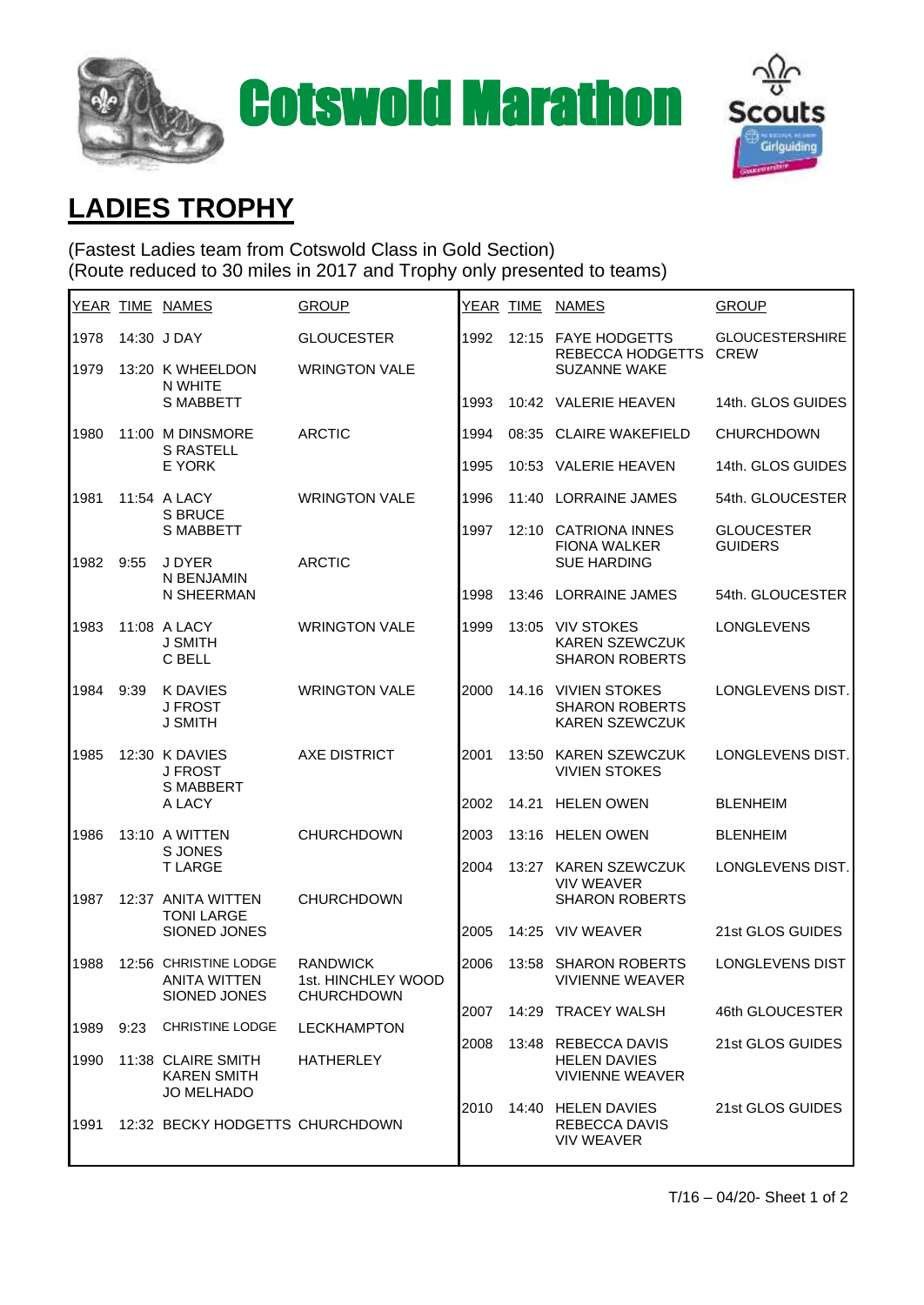



## **LADIES TROPHY**

(Fastest Ladies team from Cotswold Class in Gold Section) (Route reduced to 30 miles in 2017 and Trophy only presented to teams)

|      |      | YEAR TIME NAMES                                                | <b>GROUP</b>                                               | <u>YEAR_TIME</u> |       | <b>NAMES</b>                                                          | <b>GROUP</b>                          |
|------|------|----------------------------------------------------------------|------------------------------------------------------------|------------------|-------|-----------------------------------------------------------------------|---------------------------------------|
| 1978 |      | 14:30 J DAY                                                    | <b>GLOUCESTER</b>                                          | 1992             |       | 12:15 FAYE HODGETTS<br>REBECCA HODGETTS<br><b>SUZANNE WAKE</b>        | <b>GLOUCESTERSHIRE</b><br><b>CREW</b> |
| 1979 |      | 13:20 K WHEELDON<br>N WHITE<br><b>S MABBETT</b>                | <b>WRINGTON VALE</b>                                       |                  |       |                                                                       |                                       |
|      |      |                                                                |                                                            | 1993             |       | 10:42 VALERIE HEAVEN                                                  | 14th, GLOS GUIDES                     |
| 1980 |      | 11:00 M DINSMORE<br><b>S RASTELL</b><br>E YORK                 | <b>ARCTIC</b>                                              | 1994             | 08:35 | <b>CLAIRE WAKEFIELD</b>                                               | <b>CHURCHDOWN</b>                     |
|      |      |                                                                |                                                            | 1995             | 10:53 | <b>VALERIE HEAVEN</b>                                                 | 14th. GLOS GUIDES                     |
| 1981 |      | 11:54 A LACY<br><b>S BRUCE</b><br><b>S MABBETT</b>             | <b>WRINGTON VALE</b>                                       | 1996             | 11:40 | <b>LORRAINE JAMES</b>                                                 | 54th. GLOUCESTER                      |
|      |      |                                                                |                                                            | 1997             |       | 12:10 CATRIONA INNES<br><b>FIONA WALKER</b><br><b>SUE HARDING</b>     | <b>GLOUCESTER</b><br><b>GUIDERS</b>   |
| 1982 | 9:55 | J DYER<br>N BENJAMIN<br>N SHEERMAN                             | <b>ARCTIC</b>                                              |                  |       |                                                                       |                                       |
|      |      |                                                                |                                                            | 1998             |       | 13:46 LORRAINE JAMES                                                  | 54th, GLOUCESTER                      |
| 1983 |      | 11:08 A LACY<br><b>J SMITH</b><br>C BELL                       | <b>WRINGTON VALE</b>                                       | 1999             |       | 13:05 VIV STOKES<br><b>KAREN SZEWCZUK</b><br><b>SHARON ROBERTS</b>    | <b>LONGLEVENS</b>                     |
|      |      |                                                                |                                                            |                  |       |                                                                       |                                       |
| 1984 | 9:39 | <b>K DAVIES</b><br><b>J FROST</b><br><b>J SMITH</b>            | <b>WRINGTON VALE</b>                                       | 2000             |       | 14.16 VIVIEN STOKES<br><b>SHARON ROBERTS</b><br><b>KAREN SZEWCZUK</b> | LONGLEVENS DIST.                      |
|      |      |                                                                |                                                            |                  |       |                                                                       |                                       |
| 1985 |      | 12:30 K DAVIES<br><b>J FROST</b><br><b>S MABBERT</b><br>A LACY | <b>AXE DISTRICT</b>                                        | 2001             |       | 13:50 KAREN SZEWCZUK<br><b>VIVIEN STOKES</b>                          | LONGLEVENS DIST.                      |
|      |      |                                                                |                                                            | 2002             | 14.21 | <b>HELEN OWEN</b>                                                     | <b>BLENHEIM</b>                       |
| 1986 |      | 13:10 A WITTEN<br>S JONES<br><b>TLARGE</b>                     | <b>CHURCHDOWN</b>                                          | 2003             |       | 13:16 HELEN OWEN                                                      | <b>BLENHEIM</b>                       |
|      |      |                                                                |                                                            | 2004             |       | 13:27 KAREN SZEWCZUK<br><b>VIV WEAVER</b>                             | LONGLEVENS DIST.                      |
| 1987 |      | 12:37 ANITA WITTEN<br><b>TONI LARGE</b><br>SIONED JONES        | <b>CHURCHDOWN</b>                                          |                  |       | <b>SHARON ROBERTS</b>                                                 |                                       |
|      |      |                                                                |                                                            | 2005             | 14:25 | <b>VIV WEAVER</b>                                                     | 21st GLOS GUIDES                      |
| 1988 |      | 12:56 CHRISTINE LODGE<br><b>ANITA WITTEN</b><br>SIONED JONES   | <b>RANDWICK</b><br>1st. HINCHLEY WOOD<br><b>CHURCHDOWN</b> | 2006             | 13:58 | <b>SHARON ROBERTS</b><br><b>VIVIENNE WEAVER</b>                       | LONGLEVENS DIST                       |
|      |      |                                                                |                                                            | 2007             |       | 14:29 TRACEY WALSH                                                    | 46th GLOUCESTER                       |
| 1989 | 9:23 | <b>CHRISTINE LODGE</b>                                         | <b>LECKHAMPTON</b>                                         | 2008             |       | 13:48 REBECCA DAVIS<br><b>HELEN DAVIES</b><br><b>VIVIENNE WEAVER</b>  | 21st GLOS GUIDES                      |
| 1990 |      | 11:38 CLAIRE SMITH<br><b>KAREN SMITH</b><br><b>JO MELHADO</b>  | <b>HATHERLEY</b>                                           |                  |       |                                                                       |                                       |
| 1991 |      | 12:32 BECKY HODGETTS CHURCHDOWN                                |                                                            | 2010             |       | 14:40 HELEN DAVIES<br><b>REBECCA DAVIS</b><br><b>VIV WEAVER</b>       | 21st GLOS GUIDES                      |